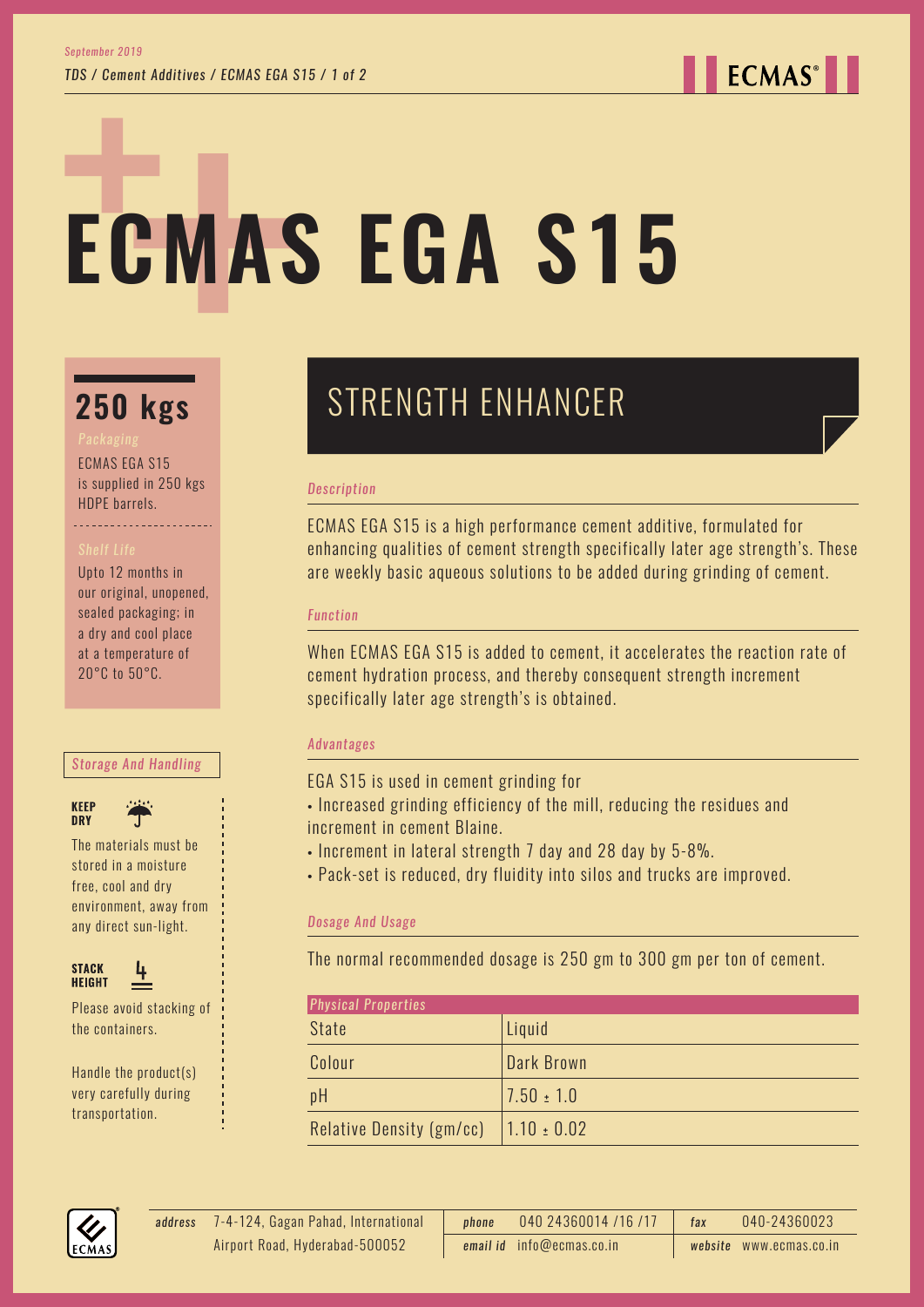**ECMAS**<sup>®</sup>

# **ECMAS EGA S15**

## **250 kgs**

ECMAS EGA S15

is supplied in 250 kgs HDPE barrels. 

Upto 12 months in our original, unopened, sealed packaging; in a dry and cool place at a temperature of 20°C to 50°C.

#### *Storage And Handling*





The materials must be stored in a moisture free, cool and dry environment, away from any direct sun-light.



Please avoid stacking of the containers.

Handle the product(s) very carefully during transportation.

## STRENGTH ENHANCER

#### *Description*

ECMAS EGA S15 is a high performance cement additive, formulated for enhancing qualities of cement strength specifically later age strength's. These are weekly basic aqueous solutions to be added during grinding of cement.

#### *Function*

When ECMAS EGA S15 is added to cement, it accelerates the reaction rate of cement hydration process, and thereby consequent strength increment specifically later age strength's is obtained.

#### *Advantages*

EGA S15 is used in cement grinding for

- Increased grinding efficiency of the mill, reducing the residues and increment in cement Blaine.
- Increment in lateral strength 7 day and 28 day by 5-8%.
- Pack-set is reduced, dry fluidity into silos and trucks are improved.

### *Dosage And Usage*

The normal recommended dosage is 250 gm to 300 gm per ton of cement.

| <b>Physical Properties</b> |                 |
|----------------------------|-----------------|
| <b>State</b>               | Liquid          |
| Colour                     | Dark Brown      |
| pH                         | $7.50 \pm 1.0$  |
| Relative Density (gm/cc)   | $1.10 \pm 0.02$ |



7-4-124, Gagan Pahad, International *address phone* 040 24360014 /16 /17 *fax* 040-24360023 *email id* info@ecmas.co.in *website* www.ecmas.co.in